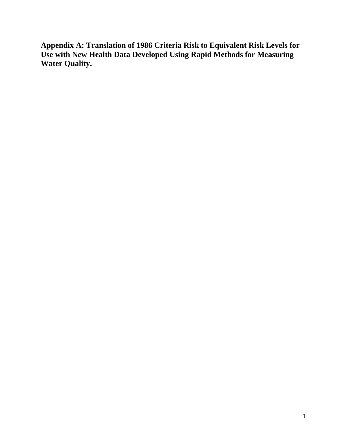**Appendix A: Translation of 1986 Criteria Risk to Equivalent Risk Levels for Use with New Health Data Developed Using Rapid Methods for Measuring Water Quality.**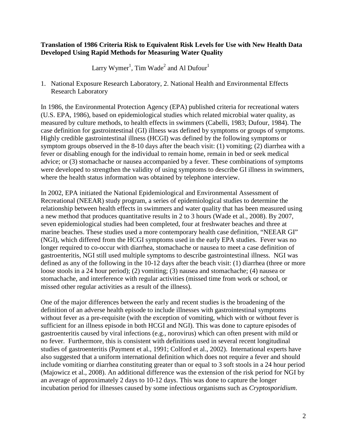## **Translation of 1986 Criteria Risk to Equivalent Risk Levels for Use with New Health Data Developed Using Rapid Methods for Measuring Water Quality**

Larry Wymer<sup>1</sup>, Tim Wade<sup>2</sup> and Al Dufour<sup>1</sup>

1. National Exposure Research Laboratory, 2. National Health and Environmental Effects Research Laboratory

In 1986, the Environmental Protection Agency (EPA) published criteria for recreational waters (U.S. EPA, 1986), based on epidemiological studies which related microbial water quality, as measured by culture methods, to health effects in swimmers (Cabelli, 1983; Dufour, 1984). The case definition for gastrointestinal (GI) illness was defined by symptoms or groups of symptoms. Highly credible gastrointestinal illness (HCGI) was defined by the following symptoms or symptom groups observed in the 8-10 days after the beach visit: (1) vomiting; (2) diarrhea with a fever or disabling enough for the individual to remain home, remain in bed or seek medical advice; or (3) stomachache or nausea accompanied by a fever. These combinations of symptoms were developed to strengthen the validity of using symptoms to describe GI illness in swimmers, where the health status information was obtained by telephone interview.

In 2002, EPA initiated the National Epidemiological and Environmental Assessment of Recreational (NEEAR) study program, a series of epidemiological studies to determine the relationship between health effects in swimmers and water quality that has been measured using a new method that produces quantitative results in 2 to 3 hours (Wade et al., 2008). By 2007, seven epidemiological studies had been completed, four at freshwater beaches and three at marine beaches. These studies used a more contemporary health case definition, "NEEAR GI" (NGI), which differed from the HCGI symptoms used in the early EPA studies. Fever was no longer required to co-occur with diarrhea, stomachache or nausea to meet a case definition of gastroenteritis, NGI still used multiple symptoms to describe gastrointestinal illness. NGI was defined as any of the following in the 10-12 days after the beach visit: (1) diarrhea (three or more loose stools in a 24 hour period); (2) vomiting; (3) nausea and stomachache; (4) nausea or stomachache, and interference with regular activities (missed time from work or school, or missed other regular activities as a result of the illness).

One of the major differences between the early and recent studies is the broadening of the definition of an adverse health episode to include illnesses with gastrointestinal symptoms without fever as a pre-requisite (with the exception of vomiting, which with or without fever is sufficient for an illness episode in both HCGI and NGI). This was done to capture episodes of gastroenteritis caused by viral infections (e.g., norovirus) which can often present with mild or no fever. Furthermore, this is consistent with definitions used in several recent longitudinal studies of gastroenteritis (Payment et al., 1991; Colford et al., 2002). International experts have also suggested that a uniform international definition which does not require a fever and should include vomiting or diarrhea constituting greater than or equal to 3 soft stools in a 24 hour period (Majowicz et al., 2008). An additional difference was the extension of the risk period for NGI by an average of approximately 2 days to 10-12 days. This was done to capture the longer incubation period for illnesses caused by some infectious organisms such as *Cryptosporidium*.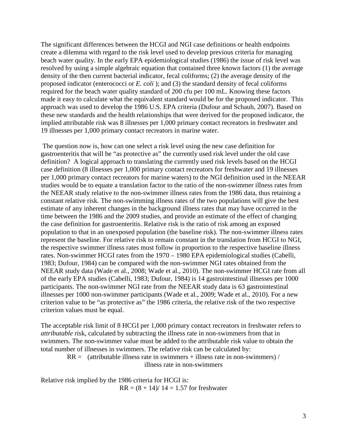The significant differences between the HCGI and NGI case definitions or health endpoints create a dilemma with regard to the risk level used to develop previous criteria for managing beach water quality. In the early EPA epidemiological studies (1986) the issue of risk level was resolved by using a simple algebraic equation that contained three known factors (1) the average density of the then current bacterial indicator, fecal coliforms; (2) the average density of the proposed indicator (enterococci or *E. coli* ); and (3) the standard density of fecal coliforms required for the beach water quality standard of 200 cfu per 100 mL. Knowing these factors made it easy to calculate what the equivalent standard would be for the proposed indicator. This approach was used to develop the 1986 U.S. EPA criteria (Dufour and Schaub, 2007). Based on these new standards and the health relationships that were derived for the proposed indicator, the implied attributable risk was 8 illnesses per 1,000 primary contact recreators in freshwater and 19 illnesses per 1,000 primary contact recreators in marine water.

 The question now is, how can one select a risk level using the new case definition for gastroenteritis that will be "as protective as" the currently used risk level under the old case definition? A logical approach to translating the currently used risk levels based on the HCGI case definition (8 illnesses per 1,000 primary contact recreators for freshwater and 19 illnesses per 1,000 primary contact recreators for marine waters) to the NGI definition used in the NEEAR studies would be to equate a translation factor to the ratio of the non-swimmer illness rates from the NEEAR study relative to the non-swimmer illness rates from the 1986 data, thus retaining a constant relative risk. The non-swimming illness rates of the two populations will give the best estimate of any inherent changes in the background illness rates that may have occurred in the time between the 1986 and the 2009 studies, and provide an estimate of the effect of changing the case definition for gastroenteritis. Relative risk is the ratio of risk among an exposed population to that in an unexposed population (the baseline risk). The non-swimmer illness rates represent the baseline. For relative risk to remain constant in the translation from HCGI to NGI, the respective swimmer illness rates must follow in proportion to the respective baseline illness rates. Non-swimmer HCGI rates from the 1970 – 1980 EPA epidemiological studies (Cabelli, 1983; Dufour, 1984) can be compared with the non-swimmer NGI rates obtained from the NEEAR study data (Wade et al., 2008; Wade et al., 2010). The non-swimmer HCGI rate from all of the early EPA studies (Cabelli, 1983; Dufour, 1984) is 14 gastrointestinal illnesses per 1000 participants. The non-swimmer NGI rate from the NEEAR study data is 63 gastrointestinal illnesses per 1000 non-swimmer participants (Wade et al., 2009; Wade et al., 2010). For a new criterion value to be "as protective as" the 1986 criteria, the relative risk of the two respective criterion values must be equal.

The acceptable risk limit of 8 HCGI per 1,000 primary contact recreators in freshwater refers to *attributable* risk, calculated by subtracting the illness rate in non-swimmers from that in swimmers. The non-swimmer value must be added to the attributable risk value to obtain the total number of illnesses in swimmers. The relative risk can be calculated by:

 $RR =$  (attributable illness rate in swimmers + illness rate in non-swimmers) / illness rate in non-swimmers

Relative risk implied by the 1986 criteria for HCGI is:  $RR = (8 + 14)/14 = 1.57$  for freshwater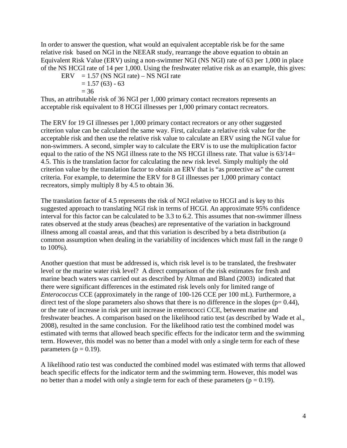In order to answer the question, what would an equivalent acceptable risk be for the same relative risk based on NGI in the NEEAR study, rearrange the above equation to obtain an Equivalent Risk Value (ERV) using a non-swimmer NGI (NS NGI) rate of 63 per 1,000 in place of the NS HCGI rate of 14 per 1,000. Using the freshwater relative risk as an example, this gives:

ERV =  $1.57$  (NS NGI rate) – NS NGI rate

$$
= 1.57 (63) - 63
$$

 $= 36$ 

Thus, an attributable risk of 36 NGI per 1,000 primary contact recreators represents an acceptable risk equivalent to 8 HCGI illnesses per 1,000 primary contact recreators.

The ERV for 19 GI illnesses per 1,000 primary contact recreators or any other suggested criterion value can be calculated the same way. First, calculate a relative risk value for the acceptable risk and then use the relative risk value to calculate an ERV using the NGI value for non-swimmers. A second, simpler way to calculate the ERV is to use the multiplication factor equal to the ratio of the NS NGI illness rate to the NS HCGI illness rate. That value is  $63/14=$ 4.5. This is the translation factor for calculating the new risk level. Simply multiply the old criterion value by the translation factor to obtain an ERV that is "as protective as" the current criteria. For example, to determine the ERV for 8 GI illnesses per 1,000 primary contact recreators, simply multiply 8 by 4.5 to obtain 36.

The translation factor of 4.5 represents the risk of NGI relative to HCGI and is key to this suggested approach to translating NGI risk in terms of HCGI. An approximate 95% confidence interval for this factor can be calculated to be 3.3 to 6.2. This assumes that non-swimmer illness rates observed at the study areas (beaches) are representative of the variation in background illness among all coastal areas, and that this variation is described by a beta distribution (a common assumption when dealing in the variability of incidences which must fall in the range 0 to 100%).

Another question that must be addressed is, which risk level is to be translated, the freshwater level or the marine water risk level? A direct comparison of the risk estimates for fresh and marine beach waters was carried out as described by Altman and Bland (2003) indicated that there were significant differences in the estimated risk levels only for limited range of *Enterococcus* CCE (approximately in the range of 100-126 CCE per 100 mL). Furthermore, a direct test of the slope parameters also shows that there is no difference in the slopes ( $p= 0.44$ ), or the rate of increase in risk per unit increase in enterococci CCE, between marine and freshwater beaches. A comparison based on the likelihood ratio test (as described by Wade et al., 2008), resulted in the same conclusion. For the likelihood ratio test the combined model was estimated with terms that allowed beach specific effects for the indicator term and the swimming term. However, this model was no better than a model with only a single term for each of these parameters ( $p = 0.19$ ).

A likelihood ratio test was conducted the combined model was estimated with terms that allowed beach specific effects for the indicator term and the swimming term. However, this model was no better than a model with only a single term for each of these parameters ( $p = 0.19$ ).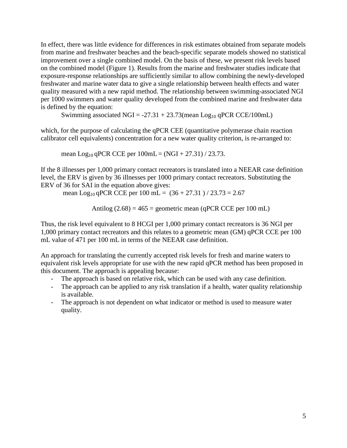In effect, there was little evidence for differences in risk estimates obtained from separate models from marine and freshwater beaches and the beach-specific separate models showed no statistical improvement over a single combined model. On the basis of these, we present risk levels based on the combined model (Figure 1). Results from the marine and freshwater studies indicate that exposure-response relationships are sufficiently similar to allow combining the newly-developed freshwater and marine water data to give a single relationship between health effects and water quality measured with a new rapid method. The relationship between swimming-associated NGI per 1000 swimmers and water quality developed from the combined marine and freshwater data is defined by the equation:

Swimming associated NGI =  $-27.31 + 23.73$  (mean Log<sub>10</sub> qPCR CCE/100mL)

which, for the purpose of calculating the qPCR CEE (quantitative polymerase chain reaction calibrator cell equivalents) concentration for a new water quality criterion, is re-arranged to:

mean Log<sub>10</sub> qPCR CCE per  $100mL = (NGI + 27.31) / 23.73$ .

If the 8 illnesses per 1,000 primary contact recreators is translated into a NEEAR case definition level, the ERV is given by 36 illnesses per 1000 primary contact recreators. Substituting the ERV of 36 for SAI in the equation above gives:

mean Log<sub>10</sub> qPCR CCE per 100 mL =  $(36 + 27.31) / 23.73 = 2.67$ 

Antilog  $(2.68) = 465$  = geometric mean (qPCR CCE per 100 mL)

Thus, the risk level equivalent to 8 HCGI per 1,000 primary contact recreators is 36 NGI per 1,000 primary contact recreators and this relates to a geometric mean (GM) qPCR CCE per 100 mL value of 471 per 100 mL in terms of the NEEAR case definition.

An approach for translating the currently accepted risk levels for fresh and marine waters to equivalent risk levels appropriate for use with the new rapid qPCR method has been proposed in this document. The approach is appealing because:

- The approach is based on relative risk, which can be used with any case definition.
- The approach can be applied to any risk translation if a health, water quality relationship is available.
- The approach is not dependent on what indicator or method is used to measure water quality.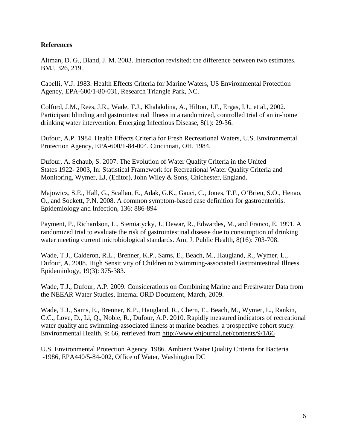## **References**

Altman, D. G., Bland, J. M. 2003. Interaction revisited: the difference between two estimates. BMJ, 326, 219.

Cabelli, V.J. 1983. Health Effects Criteria for Marine Waters, US Environmental Protection Agency, EPA-600/1-80-031, Research Triangle Park, NC.

Colford, J.M., Rees, J.R., Wade, T.J., Khalakdina, A., Hilton, J.F., Ergas, I.J., et al., 2002. Participant blinding and gastrointestinal illness in a randomized, controlled trial of an in-home drinking water intervention. Emerging Infectious Disease, 8(1): 29-36.

Dufour, A.P. 1984. Health Effects Criteria for Fresh Recreational Waters, U.S. Environmental Protection Agency, EPA-600/1-84-004, Cincinnati, OH, 1984.

Dufour, A. Schaub, S. 2007. The Evolution of Water Quality Criteria in the United States 1922- 2003, In: Statistical Framework for Recreational Water Quality Criteria and Monitoring, Wymer, LJ, (Editor), John Wiley & Sons, Chichester, England.

Majowicz, S.E., Hall, G., Scallan, E., Adak, G.K., Gauci, C., Jones, T.F., O'Brien, S.O., Henao, O., and Sockett, P.N. 2008. A common symptom-based case definition for gastroenteritis. Epidemiology and Infection, 136: 886-894

Payment, P., Richardson, L., Siemiatycky, J., Dewar, R., Edwardes, M., and Franco, E. 1991. A randomized trial to evaluate the risk of gastrointestinal disease due to consumption of drinking water meeting current microbiological standards. Am. J. Public Health, 8(16): 703-708.

Wade, T.J., Calderon, R.L., Brenner, K.P., Sams, E., Beach, M., Haugland, R., Wymer, L., Dufour, A. 2008. High Sensitivity of Children to Swimming-associated Gastrointestinal Illness. Epidemiology, 19(3): 375-383.

Wade, T.J., Dufour, A.P. 2009. Considerations on Combining Marine and Freshwater Data from the NEEAR Water Studies, Internal ORD Document, March, 2009.

Wade, T.J., Sams, E., Brenner, K.P., Haugland, R., Chern, E., Beach, M., Wymer, L., Rankin, C.C., Love, D., Li, Q., Noble, R., Dufour, A.P. 2010. Rapidly measured indicators of recreational water quality and swimming-associated illness at marine beaches: a prospective cohort study. Environmental Health, 9: 66, retrieved from <http://www.ehjournal.net/contents/9/1/66>

U.S. Environmental Protection Agency. 1986. Ambient Water Quality Criteria for Bacteria -1986, EPA440/5-84-002, Office of Water, Washington DC